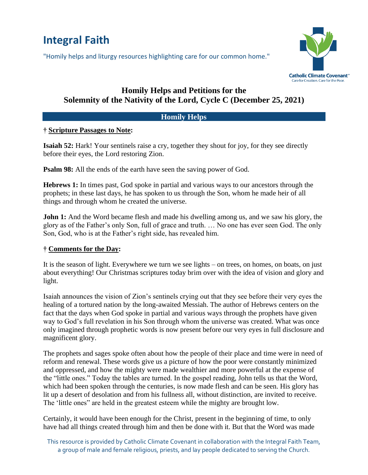# **Integral Faith**

"Homily helps and liturgy resources highlighting care for our common home."



# **Homily Helps and Petitions for the Solemnity of the Nativity of the Lord, Cycle C (December 25, 2021)**

# **Homily Helps**

# **† Scripture Passages to Note:**

**Isaiah 52:** Hark! Your sentinels raise a cry, together they shout for joy, for they see directly before their eyes, the Lord restoring Zion.

**Psalm 98:** All the ends of the earth have seen the saving power of God.

**Hebrews 1:** In times past, God spoke in partial and various ways to our ancestors through the prophets; in these last days, he has spoken to us through the Son, whom he made heir of all things and through whom he created the universe.

**John 1:** And the Word became flesh and made his dwelling among us, and we saw his glory, the glory as of the Father's only Son, full of grace and truth. … No one has ever seen God. The only Son, God, who is at the Father's right side, has revealed him.

# **† Comments for the Day:**

It is the season of light. Everywhere we turn we see lights – on trees, on homes, on boats, on just about everything! Our Christmas scriptures today brim over with the idea of vision and glory and light.

Isaiah announces the vision of Zion's sentinels crying out that they see before their very eyes the healing of a tortured nation by the long-awaited Messiah. The author of Hebrews centers on the fact that the days when God spoke in partial and various ways through the prophets have given way to God's full revelation in his Son through whom the universe was created. What was once only imagined through prophetic words is now present before our very eyes in full disclosure and magnificent glory.

The prophets and sages spoke often about how the people of their place and time were in need of reform and renewal. These words give us a picture of how the poor were constantly minimized and oppressed, and how the mighty were made wealthier and more powerful at the expense of the "little ones." Today the tables are turned. In the gospel reading, John tells us that the Word, which had been spoken through the centuries, is now made flesh and can be seen. His glory has lit up a desert of desolation and from his fullness all, without distinction, are invited to receive. The 'little ones" are held in the greatest esteem while the mighty are brought low.

Certainly, it would have been enough for the Christ, present in the beginning of time, to only have had all things created through him and then be done with it. But that the Word was made

This resource is provided by Catholic Climate Covenant in collaboration with the Integral Faith Team, a group of male and female religious, priests, and lay people dedicated to serving the Church.